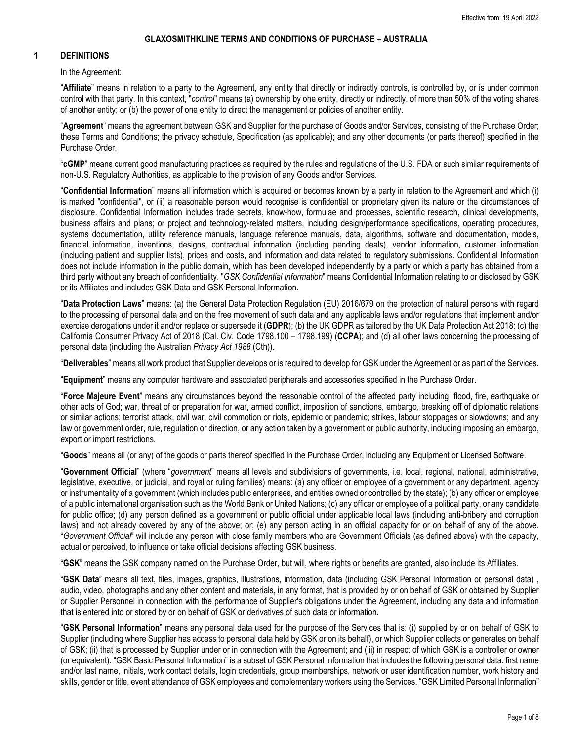#### **1 DEFINITIONS**

In the Agreement:

"**Affiliate**" means in relation to a party to the Agreement, any entity that directly or indirectly controls, is controlled by, or is under common control with that party. In this context, "*control*" means (a) ownership by one entity, directly or indirectly, of more than 50% of the voting shares of another entity; or (b) the power of one entity to direct the management or policies of another entity.

"**Agreement**" means the agreement between GSK and Supplier for the purchase of Goods and/or Services, consisting of the Purchase Order; these Terms and Conditions; the privacy schedule, Specification (as applicable); and any other documents (or parts thereof) specified in the Purchase Order.

"**[cGMP](https://www.lawinsider.com/clause/cgmp?cursor=CksSRWoVc35sYXdpbnNpZGVyY29udHJhY3RzciwLEhlDbGF1c2VTbmlwcGV0R3JvdXBfdjE5X2VuIg1jZ21wIzAwMDAwMDE0DBgAIAA%3D)**" means current good manufacturing practices as required by the rules and regulations of the U.S. FDA or such similar requirements of non-U.S. Regulatory Authorities, as applicable to the provision of any Goods and/or Services.

"**Confidential Information**" means all information which is acquired or becomes known by a party in relation to the Agreement and which (i) is marked "confidential", or (ii) a reasonable person would recognise is confidential or proprietary given its nature or the circumstances of disclosure. Confidential Information includes trade secrets, know-how, formulae and processes, scientific research, clinical developments, business affairs and plans; or project and technology-related matters, including design/performance specifications, operating procedures, systems documentation, utility reference manuals, language reference manuals, data, algorithms, software and documentation, models, financial information, inventions, designs, contractual information (including pending deals), vendor information, customer information (including patient and supplier lists), prices and costs, and information and data related to regulatory submissions. Confidential Information does not include information in the public domain, which has been developed independently by a party or which a party has obtained from a third party without any breach of confidentiality. "*GSK Confidential Information*" means Confidential Information relating to or disclosed by GSK or its Affiliates and includes GSK Data and GSK Personal Information.

"**Data Protection Laws**" means: (a) the General Data Protection Regulation (EU) 2016/679 on the protection of natural persons with regard to the processing of personal data and on the free movement of such data and any applicable laws and/or regulations that implement and/or exercise derogations under it and/or replace or supersede it (**GDPR**); (b) the UK GDPR as tailored by the UK Data Protection Act 2018; (c) the California Consumer Privacy Act of 2018 (Cal. Civ. Code 1798.100 – 1798.199) (**CCPA**); and (d) all other laws concerning the processing of personal data (including the Australian *Privacy Act 1988* (Cth)).

"**Deliverables**" means all work product that Supplier develops or is required to develop for GSK under the Agreement or as part of the Services.

"**Equipment**" means any computer hardware and associated peripherals and accessories specified in the Purchase Order.

"**Force Majeure Event**" means any circumstances beyond the reasonable control of the affected party including: flood, fire, earthquake or other acts of God; war, threat of or preparation for war, armed conflict, imposition of sanctions, embargo, breaking off of diplomatic relations or similar actions; terrorist attack, civil war, civil commotion or riots, epidemic or pandemic; strikes, labour stoppages or slowdowns; and any law or government order, rule, regulation or direction, or any action taken by a government or public authority, including imposing an embargo, export or import restrictions.

"**Goods**" means all (or any) of the goods or parts thereof specified in the Purchase Order, including any Equipment or Licensed Software.

"**Government Official**" (where "*government*" means all levels and subdivisions of governments, i.e. local, regional, national, administrative, legislative, executive, or judicial, and royal or ruling families) means: (a) any officer or employee of a government or any department, agency or instrumentality of a government (which includes public enterprises, and entities owned or controlled by the state); (b) any officer or employee of a public international organisation such as the World Bank or United Nations; (c) any officer or employee of a political party, or any candidate for public office; (d) any person defined as a government or public official under applicable local laws (including anti-bribery and corruption laws) and not already covered by any of the above; or; (e) any person acting in an official capacity for or on behalf of any of the above. "*Government Official*" will include any person with close family members who are Government Officials (as defined above) with the capacity, actual or perceived, to influence or take official decisions affecting GSK business.

"**GSK**" means the GSK company named on the Purchase Order, but will, where rights or benefits are granted, also include its Affiliates.

"**GSK Data**" means all text, files, images, graphics, illustrations, information, data (including GSK Personal Information or personal data) , audio, video, photographs and any other content and materials, in any format, that is provided by or on behalf of GSK or obtained by Supplier or Supplier Personnel in connection with the performance of Supplier's obligations under the Agreement, including any data and information that is entered into or stored by or on behalf of GSK or derivatives of such data or information.

"**GSK Personal Information**" means any personal data used for the purpose of the Services that is: (i) supplied by or on behalf of GSK to Supplier (including where Supplier has access to personal data held by GSK or on its behalf), or which Supplier collects or generates on behalf of GSK; (ii) that is processed by Supplier under or in connection with the Agreement; and (iii) in respect of which GSK is a controller or owner (or equivalent). "GSK Basic Personal Information" is a subset of GSK Personal Information that includes the following personal data: first name and/or last name, initials, work contact details, login credentials, group memberships, network or user identification number, work history and skills, gender or title, event attendance of GSK employees and complementary workers using the Services. "GSK Limited Personal Information"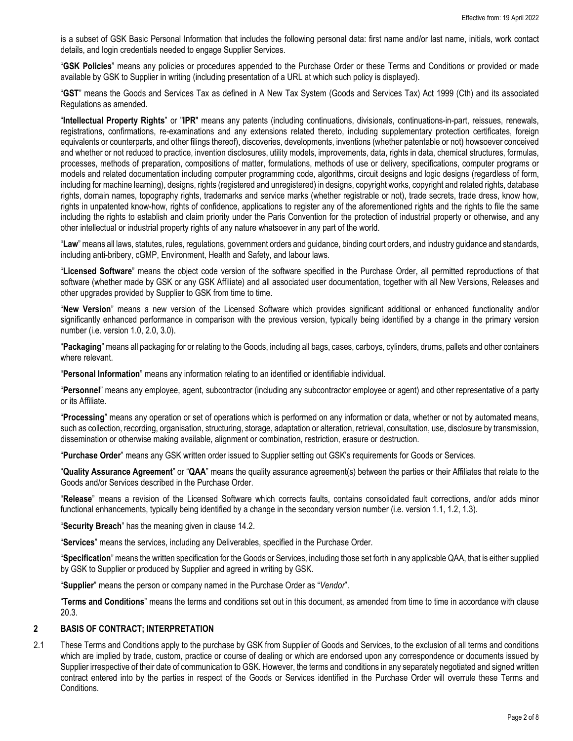is a subset of GSK Basic Personal Information that includes the following personal data: first name and/or last name, initials, work contact details, and login credentials needed to engage Supplier Services.

"**GSK Policies**" means any policies or procedures appended to the Purchase Order or these Terms and Conditions or provided or made available by GSK to Supplier in writing (including presentation of a URL at which such policy is displayed).

"**GST**" means the Goods and Services Tax as defined in A New Tax System (Goods and Services Tax) Act 1999 (Cth) and its associated Regulations as amended.

"**Intellectual Property Rights**" or "**IPR**" means any patents (including continuations, divisionals, continuations-in-part, reissues, renewals, registrations, confirmations, re-examinations and any extensions related thereto, including supplementary protection certificates, foreign equivalents or counterparts, and other filings thereof), discoveries, developments, inventions (whether patentable or not) howsoever conceived and whether or not reduced to practice, invention disclosures, utility models, improvements, data, rights in data, chemical structures, formulas, processes, methods of preparation, compositions of matter, formulations, methods of use or delivery, specifications, computer programs or models and related documentation including computer programming code, algorithms, circuit designs and logic designs (regardless of form, including for machine learning), designs, rights (registered and unregistered) in designs, copyright works, copyright and related rights, database rights, domain names, topography rights, trademarks and service marks (whether registrable or not), trade secrets, trade dress, know how, rights in unpatented know-how, rights of confidence, applications to register any of the aforementioned rights and the rights to file the same including the rights to establish and claim priority under the Paris Convention for the protection of industrial property or otherwise, and any other intellectual or industrial property rights of any nature whatsoever in any part of the world.

"**Law**" means all laws, statutes, rules, regulations, government orders and guidance, binding court orders, and industry guidance and standards, including anti-bribery, cGMP, Environment, Health and Safety, and labour laws.

"**Licensed Software**" means the object code version of the software specified in the Purchase Order, all permitted reproductions of that software (whether made by GSK or any GSK Affiliate) and all associated user documentation, together with all New Versions, Releases and other upgrades provided by Supplier to GSK from time to time.

"**New Version**" means a new version of the Licensed Software which provides significant additional or enhanced functionality and/or significantly enhanced performance in comparison with the previous version, typically being identified by a change in the primary version number (i.e. version 1.0, 2.0, 3.0).

"**Packaging**" means all packaging for or relating to the Goods, including all bags, cases, carboys, cylinders, drums, pallets and other containers where relevant.

"**Personal Information**" means any information relating to an identified or identifiable individual.

"**Personnel**" means any employee, agent, subcontractor (including any subcontractor employee or agent) and other representative of a party or its Affiliate.

"**Processing**" means any operation or set of operations which is performed on any information or data, whether or not by automated means, such as collection, recording, organisation, structuring, storage, adaptation or alteration, retrieval, consultation, use, disclosure by transmission, dissemination or otherwise making available, alignment or combination, restriction, erasure or destruction.

"**Purchase Order**" means any GSK written order issued to Supplier setting out GSK's requirements for Goods or Services.

"**Quality Assurance Agreement**" or "**QAA**" means the quality assurance agreement(s) between the parties or their Affiliates that relate to the Goods and/or Services described in the Purchase Order.

"**Release**" means a revision of the Licensed Software which corrects faults, contains consolidated fault corrections, and/or adds minor functional enhancements, typically being identified by a change in the secondary version number (i.e. version 1.1, 1.2, 1.3).

"**Security Breach**" has the meaning given in clause [14.2.](#page-5-0)

"**Services**" means the services, including any Deliverables, specified in the Purchase Order.

"**Specification**" means the written specification for the Goods or Services, including those set forth in any applicable QAA, that is either supplied by GSK to Supplier or produced by Supplier and agreed in writing by GSK.

"**Supplier**" means the person or company named in the Purchase Order as "*Vendor*".

"**Terms and Conditions**" means the terms and conditions set out in this document, as amended from time to time in accordance with clause [20.3.](#page-7-0)

#### **2 BASIS OF CONTRACT; INTERPRETATION**

2.1 These Terms and Conditions apply to the purchase by GSK from Supplier of Goods and Services, to the exclusion of all terms and conditions which are implied by trade, custom, practice or course of dealing or which are endorsed upon any correspondence or documents issued by Supplier irrespective of their date of communication to GSK. However, the terms and conditions in any separately negotiated and signed written contract entered into by the parties in respect of the Goods or Services identified in the Purchase Order will overrule these Terms and Conditions.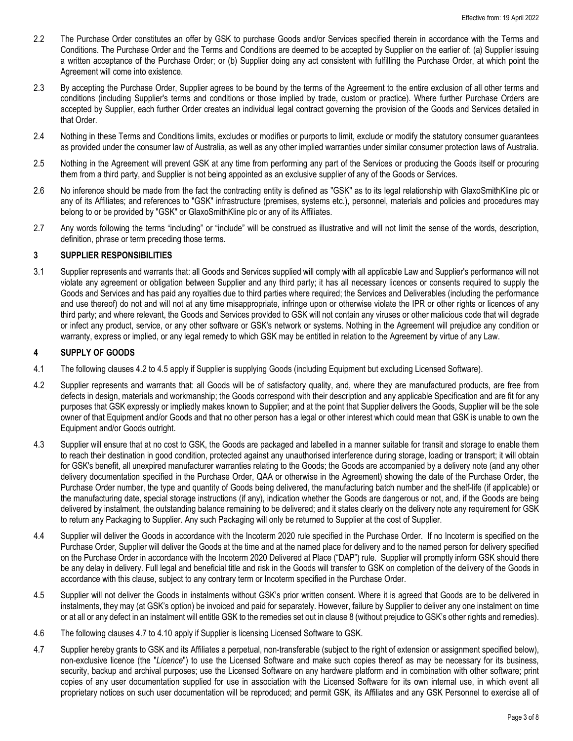- 2.2 The Purchase Order constitutes an offer by GSK to purchase Goods and/or Services specified therein in accordance with the Terms and Conditions. The Purchase Order and the Terms and Conditions are deemed to be accepted by Supplier on the earlier of: (a) Supplier issuing a written acceptance of the Purchase Order; or (b) Supplier doing any act consistent with fulfilling the Purchase Order, at which point the Agreement will come into existence.
- 2.3 By accepting the Purchase Order, Supplier agrees to be bound by the terms of the Agreement to the entire exclusion of all other terms and conditions (including Supplier's terms and conditions or those implied by trade, custom or practice). Where further Purchase Orders are accepted by Supplier, each further Order creates an individual legal contract governing the provision of the Goods and Services detailed in that Order.
- 2.4 Nothing in these Terms and Conditions limits, excludes or modifies or purports to limit, exclude or modify the statutory consumer guarantees as provided under the consumer law of Australia, as well as any other implied warranties under similar consumer protection laws of Australia.
- 2.5 Nothing in the Agreement will prevent GSK at any time from performing any part of the Services or producing the Goods itself or procuring them from a third party, and Supplier is not being appointed as an exclusive supplier of any of the Goods or Services.
- 2.6 No inference should be made from the fact the contracting entity is defined as "GSK" as to its legal relationship with GlaxoSmithKline plc or any of its Affiliates; and references to "GSK" infrastructure (premises, systems etc.), personnel, materials and policies and procedures may belong to or be provided by "GSK" or GlaxoSmithKline plc or any of its Affiliates.
- 2.7 Any words following the terms "including" or "include" will be construed as illustrative and will not limit the sense of the words, description, definition, phrase or term preceding those terms.

### **3 SUPPLIER RESPONSIBILITIES**

3.1 Supplier represents and warrants that: all Goods and Services supplied will comply with all applicable Law and Supplier's performance will not violate any agreement or obligation between Supplier and any third party; it has all necessary licences or consents required to supply the Goods and Services and has paid any royalties due to third parties where required; the Services and Deliverables (including the performance and use thereof) do not and will not at any time misappropriate, infringe upon or otherwise violate the IPR or other rights or licences of any third party; and where relevant, the Goods and Services provided to GSK will not contain any viruses or other malicious code that will degrade or infect any product, service, or any other software or GSK's network or systems. Nothing in the Agreement will prejudice any condition or warranty, express or implied, or any legal remedy to which GSK may be entitled in relation to the Agreement by virtue of any Law.

### <span id="page-2-3"></span>**4 SUPPLY OF GOODS**

- 4.1 The following clause[s 4.2](#page-2-0) to [4.5](#page-2-1) apply if Supplier is supplying Goods (including Equipment but excluding Licensed Software).
- <span id="page-2-0"></span>4.2 Supplier represents and warrants that: all Goods will be of satisfactory quality, and, where they are manufactured products, are free from defects in design, materials and workmanship; the Goods correspond with their description and any applicable Specification and are fit for any purposes that GSK expressly or impliedly makes known to Supplier; and at the point that Supplier delivers the Goods, Supplier will be the sole owner of that Equipment and/or Goods and that no other person has a legal or other interest which could mean that GSK is unable to own the Equipment and/or Goods outright.
- 4.3 Supplier will ensure that at no cost to GSK, the Goods are packaged and labelled in a manner suitable for transit and storage to enable them to reach their destination in good condition, protected against any unauthorised interference during storage, loading or transport; it will obtain for GSK's benefit, all unexpired manufacturer warranties relating to the Goods; the Goods are accompanied by a delivery note (and any other delivery documentation specified in the Purchase Order, QAA or otherwise in the Agreement) showing the date of the Purchase Order, the Purchase Order number, the type and quantity of Goods being delivered, the manufacturing batch number and the shelf-life (if applicable) or the manufacturing date, special storage instructions (if any), indication whether the Goods are dangerous or not, and, if the Goods are being delivered by instalment, the outstanding balance remaining to be delivered; and it states clearly on the delivery note any requirement for GSK to return any Packaging to Supplier. Any such Packaging will only be returned to Supplier at the cost of Supplier.
- <span id="page-2-1"></span>4.4 Supplier will deliver the Goods in accordance with the Incoterm 2020 rule specified in the Purchase Order. If no Incoterm is specified on the Purchase Order, Supplier will deliver the Goods at the time and at the named place for delivery and to the named person for delivery specified on the Purchase Order in accordance with the Incoterm 2020 Delivered at Place ("DAP") rule. Supplier will promptly inform GSK should there be any delay in delivery. Full legal and beneficial title and risk in the Goods will transfer to GSK on completion of the delivery of the Goods in accordance with this clause, subject to any contrary term or Incoterm specified in the Purchase Order.
- 4.5 Supplier will not deliver the Goods in instalments without GSK's prior written consent. Where it is agreed that Goods are to be delivered in instalments, they may (at GSK's option) be invoiced and paid for separately. However, failure by Supplier to deliver any one instalment on time or at all or any defect in an instalment will entitle GSK to the remedies set out in claus[e 8](#page-3-0) (without prejudice to GSK's other rights and remedies).
- 4.6 The following clause[s 4.7](#page-2-2) to [4.10](#page-3-1) apply if Supplier is licensing Licensed Software to GSK.
- <span id="page-2-2"></span>4.7 Supplier hereby grants to GSK and its Affiliates a perpetual, non-transferable (subject to the right of extension or assignment specified below), non-exclusive licence (the "*Licence*") to use the Licensed Software and make such copies thereof as may be necessary for its business, security, backup and archival purposes; use the Licensed Software on any hardware platform and in combination with other software; print copies of any user documentation supplied for use in association with the Licensed Software for its own internal use, in which event all proprietary notices on such user documentation will be reproduced; and permit GSK, its Affiliates and any GSK Personnel to exercise all of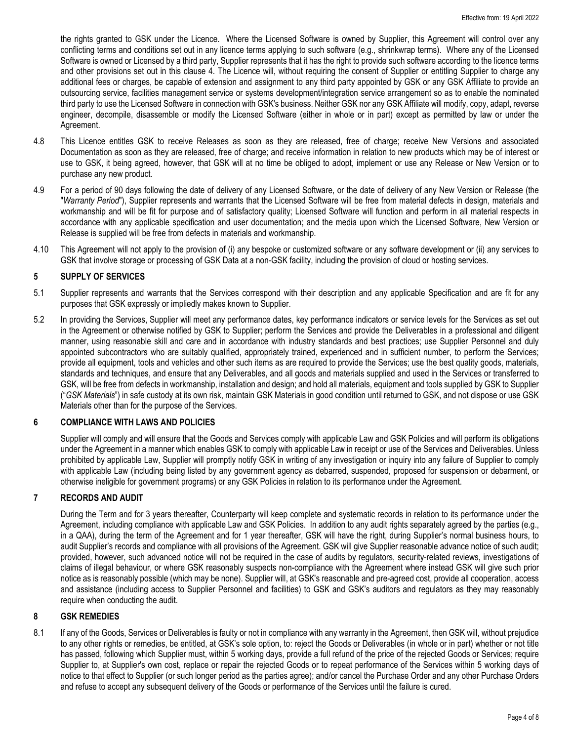the rights granted to GSK under the Licence. Where the Licensed Software is owned by Supplier, this Agreement will control over any conflicting terms and conditions set out in any licence terms applying to such software (e.g., shrinkwrap terms). Where any of the Licensed Software is owned or Licensed by a third party, Supplier represents that it has the right to provide such software according to the licence terms and other provisions set out in this clause [4.](#page-2-3) The Licence will, without requiring the consent of Supplier or entitling Supplier to charge any additional fees or charges, be capable of extension and assignment to any third party appointed by GSK or any GSK Affiliate to provide an outsourcing service, facilities management service or systems development/integration service arrangement so as to enable the nominated third party to use the Licensed Software in connection with GSK's business. Neither GSK nor any GSK Affiliate will modify, copy, adapt, reverse engineer, decompile, disassemble or modify the Licensed Software (either in whole or in part) except as permitted by law or under the Agreement.

- 4.8 This Licence entitles GSK to receive Releases as soon as they are released, free of charge; receive New Versions and associated Documentation as soon as they are released, free of charge; and receive information in relation to new products which may be of interest or use to GSK, it being agreed, however, that GSK will at no time be obliged to adopt, implement or use any Release or New Version or to purchase any new product.
- 4.9 For a period of 90 days following the date of delivery of any Licensed Software, or the date of delivery of any New Version or Release (the "*Warranty Period*"), Supplier represents and warrants that the Licensed Software will be free from material defects in design, materials and workmanship and will be fit for purpose and of satisfactory quality; Licensed Software will function and perform in all material respects in accordance with any applicable specification and user documentation; and the media upon which the Licensed Software, New Version or Release is supplied will be free from defects in materials and workmanship.
- <span id="page-3-1"></span>4.10 This Agreement will not apply to the provision of (i) any bespoke or customized software or any software development or (ii) any services to GSK that involve storage or processing of GSK Data at a non-GSK facility, including the provision of cloud or hosting services.

## **5 SUPPLY OF SERVICES**

- 5.1 Supplier represents and warrants that the Services correspond with their description and any applicable Specification and are fit for any purposes that GSK expressly or impliedly makes known to Supplier.
- 5.2 In providing the Services, Supplier will meet any performance dates, key performance indicators or service levels for the Services as set out in the Agreement or otherwise notified by GSK to Supplier; perform the Services and provide the Deliverables in a professional and diligent manner, using reasonable skill and care and in accordance with industry standards and best practices; use Supplier Personnel and duly appointed subcontractors who are suitably qualified, appropriately trained, experienced and in sufficient number, to perform the Services; provide all equipment, tools and vehicles and other such items as are required to provide the Services; use the best quality goods, materials, standards and techniques, and ensure that any Deliverables, and all goods and materials supplied and used in the Services or transferred to GSK, will be free from defects in workmanship, installation and design; and hold all materials, equipment and tools supplied by GSK to Supplier ("*GSK Materials*") in safe custody at its own risk, maintain GSK Materials in good condition until returned to GSK, and not dispose or use GSK Materials other than for the purpose of the Services.

### **6 COMPLIANCE WITH LAWS AND POLICIES**

Supplier will comply and will ensure that the Goods and Services comply with applicable Law and GSK Policies and will perform its obligations under the Agreement in a manner which enables GSK to comply with applicable Law in receipt or use of the Services and Deliverables. Unless prohibited by applicable Law, Supplier will promptly notify GSK in writing of any investigation or inquiry into any failure of Supplier to comply with applicable Law (including being listed by any government agency as debarred, suspended, proposed for suspension or debarment, or otherwise ineligible for government programs) or any GSK Policies in relation to its performance under the Agreement.

### **7 RECORDS AND AUDIT**

During the Term and for 3 years thereafter, Counterparty will keep complete and systematic records in relation to its performance under the Agreement, including compliance with applicable Law and GSK Policies. In addition to any audit rights separately agreed by the parties (e.g., in a QAA), during the term of the Agreement and for 1 year thereafter, GSK will have the right, during Supplier's normal business hours, to audit Supplier's records and compliance with all provisions of the Agreement. GSK will give Supplier reasonable advance notice of such audit; provided, however, such advanced notice will not be required in the case of audits by regulators, security-related reviews, investigations of claims of illegal behaviour, or where GSK reasonably suspects non-compliance with the Agreement where instead GSK will give such prior notice as is reasonably possible (which may be none). Supplier will, at GSK's reasonable and pre-agreed cost, provide all cooperation, access and assistance (including access to Supplier Personnel and facilities) to GSK and GSK's auditors and regulators as they may reasonably require when conducting the audit.

### <span id="page-3-0"></span>**8 GSK REMEDIES**

<span id="page-3-2"></span>8.1 If any of the Goods, Services or Deliverables is faulty or not in compliance with any warranty in the Agreement, then GSK will, without prejudice to any other rights or remedies, be entitled, at GSK's sole option, to: reject the Goods or Deliverables (in whole or in part) whether or not title has passed, following which Supplier must, within 5 working days, provide a full refund of the price of the rejected Goods or Services; require Supplier to, at Supplier's own cost, replace or repair the rejected Goods or to repeat performance of the Services within 5 working days of notice to that effect to Supplier (or such longer period as the parties agree); and/or cancel the Purchase Order and any other Purchase Orders and refuse to accept any subsequent delivery of the Goods or performance of the Services until the failure is cured.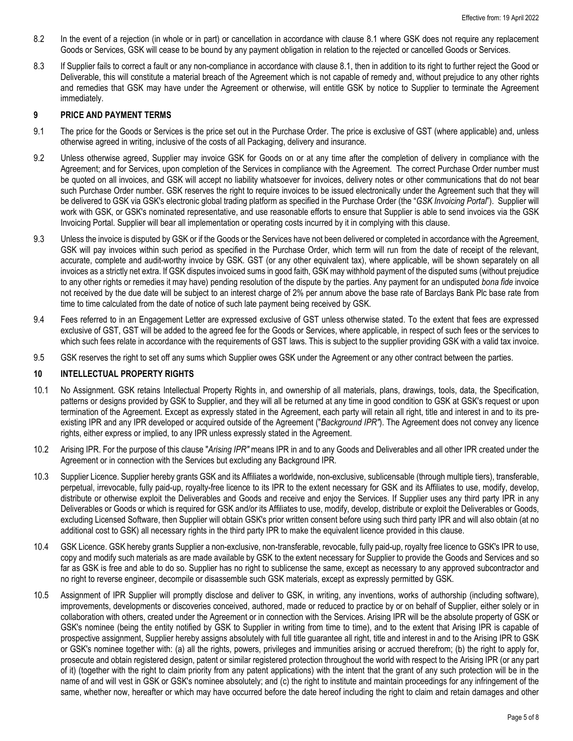- 8.2 In the event of a rejection (in whole or in part) or cancellation in accordance with clause [8.1](#page-3-2) where GSK does not require any replacement Goods or Services, GSK will cease to be bound by any payment obligation in relation to the rejected or cancelled Goods or Services.
- 8.3 If Supplier fails to correct a fault or any non-compliance in accordance with claus[e 8.1,](#page-3-2) then in addition to its right to further reject the Good or Deliverable, this will constitute a material breach of the Agreement which is not capable of remedy and, without prejudice to any other rights and remedies that GSK may have under the Agreement or otherwise, will entitle GSK by notice to Supplier to terminate the Agreement immediately.

#### **9 PRICE AND PAYMENT TERMS**

- 9.1 The price for the Goods or Services is the price set out in the Purchase Order. The price is exclusive of GST (where applicable) and, unless otherwise agreed in writing, inclusive of the costs of all Packaging, delivery and insurance.
- 9.2 Unless otherwise agreed, Supplier may invoice GSK for Goods on or at any time after the completion of delivery in compliance with the Agreement; and for Services, upon completion of the Services in compliance with the Agreement. The correct Purchase Order number must be quoted on all invoices, and GSK will accept no liability whatsoever for invoices, delivery notes or other communications that do not bear such Purchase Order number. GSK reserves the right to require invoices to be issued electronically under the Agreement such that they will be delivered to GSK via GSK's electronic global trading platform as specified in the Purchase Order (the "*GSK Invoicing Portal*"). Supplier will work with GSK, or GSK's nominated representative, and use reasonable efforts to ensure that Supplier is able to send invoices via the GSK Invoicing Portal. Supplier will bear all implementation or operating costs incurred by it in complying with this clause.
- 9.3 Unless the invoice is disputed by GSK or if the Goods or the Services have not been delivered or completed in accordance with the Agreement, GSK will pay invoices within such period as specified in the Purchase Order, which term will run from the date of receipt of the relevant, accurate, complete and audit-worthy invoice by GSK. GST (or any other equivalent tax), where applicable, will be shown separately on all invoices as a strictly net extra. If GSK disputes invoiced sums in good faith, GSK may withhold payment of the disputed sums (without prejudice to any other rights or remedies it may have) pending resolution of the dispute by the parties. Any payment for an undisputed *bona fide* invoice not received by the due date will be subject to an interest charge of 2% per annum above the base rate of Barclays Bank Plc base rate from time to time calculated from the date of notice of such late payment being received by GSK.
- 9.4 Fees referred to in an Engagement Letter are expressed exclusive of GST unless otherwise stated. To the extent that fees are expressed exclusive of GST, GST will be added to the agreed fee for the Goods or Services, where applicable, in respect of such fees or the services to which such fees relate in accordance with the requirements of GST laws. This is subject to the supplier providing GSK with a valid tax invoice.
- 9.5 GSK reserves the right to set off any sums which Supplier owes GSK under the Agreement or any other contract between the parties.

#### <span id="page-4-1"></span>**10 INTELLECTUAL PROPERTY RIGHTS**

- 10.1 No Assignment. GSK retains Intellectual Property Rights in, and ownership of all materials, plans, drawings, tools, data, the Specification, patterns or designs provided by GSK to Supplier, and they will all be returned at any time in good condition to GSK at GSK's request or upon termination of the Agreement. Except as expressly stated in the Agreement, each party will retain all right, title and interest in and to its preexisting IPR and any IPR developed or acquired outside of the Agreement ("*Background IPR"*). The Agreement does not convey any licence rights, either express or implied, to any IPR unless expressly stated in the Agreement.
- 10.2 Arising IPR. For the purpose of this clause "*Arising IPR"* means IPR in and to any Goods and Deliverables and all other IPR created under the Agreement or in connection with the Services but excluding any Background IPR.
- 10.3 Supplier Licence. Supplier hereby grants GSK and its Affiliates a worldwide, non-exclusive, sublicensable (through multiple tiers), transferable, perpetual, irrevocable, fully paid-up, royalty-free licence to its IPR to the extent necessary for GSK and its Affiliates to use, modify, develop, distribute or otherwise exploit the Deliverables and Goods and receive and enjoy the Services. If Supplier uses any third party IPR in any Deliverables or Goods or which is required for GSK and/or its Affiliates to use, modify, develop, distribute or exploit the Deliverables or Goods, excluding Licensed Software, then Supplier will obtain GSK's prior written consent before using such third party IPR and will also obtain (at no additional cost to GSK) all necessary rights in the third party IPR to make the equivalent licence provided in this clause.
- 10.4 GSK Licence. GSK hereby grants Supplier a non-exclusive, non-transferable, revocable, fully paid-up, royalty free licence to GSK's IPR to use, copy and modify such materials as are made available by GSK to the extent necessary for Supplier to provide the Goods and Services and so far as GSK is free and able to do so. Supplier has no right to sublicense the same, except as necessary to any approved subcontractor and no right to reverse engineer, decompile or disassemble such GSK materials, except as expressly permitted by GSK.
- <span id="page-4-0"></span>10.5 Assignment of IPR Supplier will promptly disclose and deliver to GSK, in writing, any inventions, works of authorship (including software), improvements, developments or discoveries conceived, authored, made or reduced to practice by or on behalf of Supplier, either solely or in collaboration with others, created under the Agreement or in connection with the Services. Arising IPR will be the absolute property of GSK or GSK's nominee (being the entity notified by GSK to Supplier in writing from time to time), and to the extent that Arising IPR is capable of prospective assignment, Supplier hereby assigns absolutely with full title guarantee all right, title and interest in and to the Arising IPR to GSK or GSK's nominee together with: (a) all the rights, powers, privileges and immunities arising or accrued therefrom; (b) the right to apply for, prosecute and obtain registered design, patent or similar registered protection throughout the world with respect to the Arising IPR (or any part of it) (together with the right to claim priority from any patent applications) with the intent that the grant of any such protection will be in the name of and will vest in GSK or GSK's nominee absolutely; and (c) the right to institute and maintain proceedings for any infringement of the same, whether now, hereafter or which may have occurred before the date hereof including the right to claim and retain damages and other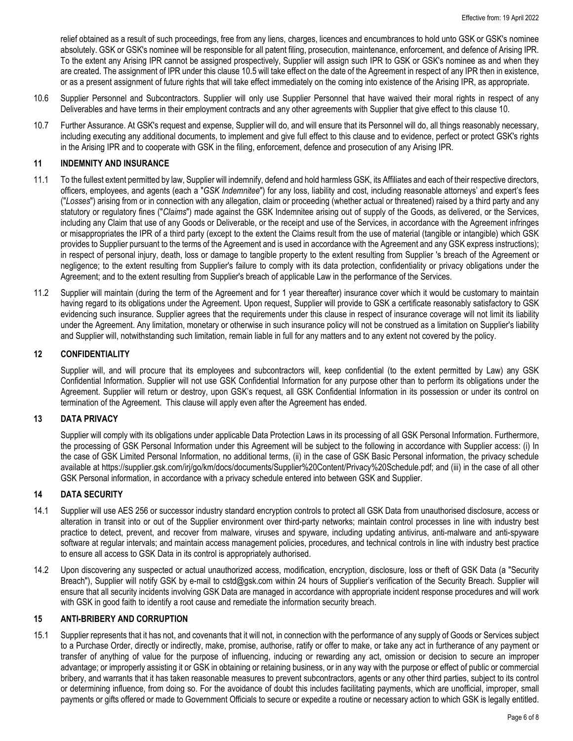relief obtained as a result of such proceedings, free from any liens, charges, licences and encumbrances to hold unto GSK or GSK's nominee absolutely. GSK or GSK's nominee will be responsible for all patent filing, prosecution, maintenance, enforcement, and defence of Arising IPR. To the extent any Arising IPR cannot be assigned prospectively, Supplier will assign such IPR to GSK or GSK's nominee as and when they are created. The assignment of IPR under this claus[e 10.5](#page-4-0) will take effect on the date of the Agreement in respect of any IPR then in existence, or as a present assignment of future rights that will take effect immediately on the coming into existence of the Arising IPR, as appropriate.

- 10.6 Supplier Personnel and Subcontractors. Supplier will only use Supplier Personnel that have waived their moral rights in respect of any Deliverables and have terms in their employment contracts and any other agreements with Supplier that give effect to this claus[e 10.](#page-4-1)
- 10.7 Further Assurance. At GSK's request and expense, Supplier will do, and will ensure that its Personnel will do, all things reasonably necessary, including executing any additional documents, to implement and give full effect to this clause and to evidence, perfect or protect GSK's rights in the Arising IPR and to cooperate with GSK in the filing, enforcement, defence and prosecution of any Arising IPR.

## **11 INDEMNITY AND INSURANCE**

- 11.1 To the fullest extent permitted by law, Supplier will indemnify, defend and hold harmless GSK, its Affiliates and each of their respective directors, officers, employees, and agents (each a "*GSK Indemnitee*") for any loss, liability and cost, including reasonable attorneys' and expert's fees ("*Losses*") arising from or in connection with any allegation, claim or proceeding (whether actual or threatened) raised by a third party and any statutory or regulatory fines ("*Claims*") made against the GSK Indemnitee arising out of supply of the Goods, as delivered, or the Services, including any Claim that use of any Goods or Deliverable, or the receipt and use of the Services, in accordance with the Agreement infringes or misappropriates the IPR of a third party (except to the extent the Claims result from the use of material (tangible or intangible) which GSK provides to Supplier pursuant to the terms of the Agreement and is used in accordance with the Agreement and any GSK express instructions); in respect of personal injury, death, loss or damage to tangible property to the extent resulting from Supplier 's breach of the Agreement or negligence; to the extent resulting from Supplier's failure to comply with its data protection, confidentiality or privacy obligations under the Agreement; and to the extent resulting from Supplier's breach of applicable Law in the performance of the Services.
- 11.2 Supplier will maintain (during the term of the Agreement and for 1 year thereafter) insurance cover which it would be customary to maintain having regard to its obligations under the Agreement. Upon request, Supplier will provide to GSK a certificate reasonably satisfactory to GSK evidencing such insurance. Supplier agrees that the requirements under this clause in respect of insurance coverage will not limit its liability under the Agreement. Any limitation, monetary or otherwise in such insurance policy will not be construed as a limitation on Supplier's liability and Supplier will, notwithstanding such limitation, remain liable in full for any matters and to any extent not covered by the policy.

### **12 CONFIDENTIALITY**

Supplier will, and will procure that its employees and subcontractors will, keep confidential (to the extent permitted by Law) any GSK Confidential Information. Supplier will not use GSK Confidential Information for any purpose other than to perform its obligations under the Agreement. Supplier will return or destroy, upon GSK's request, all GSK Confidential Information in its possession or under its control on termination of the Agreement. This clause will apply even after the Agreement has ended.

### **13 DATA PRIVACY**

Supplier will comply with its obligations under applicable Data Protection Laws in its processing of all GSK Personal Information. Furthermore, the processing of GSK Personal Information under this Agreement will be subject to the following in accordance with Supplier access: (i) In the case of GSK Limited Personal Information, no additional terms, (ii) in the case of GSK Basic Personal information, the privacy schedule available at https://supplier.gsk.com/irj/go/km/docs/documents/Supplier%20Content/Privacy%20Schedule.pdf; and (iii) in the case of all other GSK Personal information, in accordance with a privacy schedule entered into between GSK and Supplier.

### **14 DATA SECURITY**

- 14.1 Supplier will use AES 256 or successor industry standard encryption controls to protect all GSK Data from unauthorised disclosure, access or alteration in transit into or out of the Supplier environment over third-party networks; maintain control processes in line with industry best practice to detect, prevent, and recover from malware, viruses and spyware, including updating antivirus, anti-malware and anti-spyware software at regular intervals; and maintain access management policies, procedures, and technical controls in line with industry best practice to ensure all access to GSK Data in its control is appropriately authorised.
- <span id="page-5-0"></span>14.2 Upon discovering any suspected or actual unauthorized access, modification, encryption, disclosure, loss or theft of GSK Data (a "Security Breach"), Supplier will notify GSK by e-mail to cstd@gsk.com within 24 hours of Supplier's verification of the Security Breach. Supplier will ensure that all security incidents involving GSK Data are managed in accordance with appropriate incident response procedures and will work with GSK in good faith to identify a root cause and remediate the information security breach.

## **15 ANTI-BRIBERY AND CORRUPTION**

15.1 Supplier represents that it has not, and covenants that it will not, in connection with the performance of any supply of Goods or Services subject to a Purchase Order, directly or indirectly, make, promise, authorise, ratify or offer to make, or take any act in furtherance of any payment or transfer of anything of value for the purpose of influencing, inducing or rewarding any act, omission or decision to secure an improper advantage; or improperly assisting it or GSK in obtaining or retaining business, or in any way with the purpose or effect of public or commercial bribery, and warrants that it has taken reasonable measures to prevent subcontractors, agents or any other third parties, subject to its control or determining influence, from doing so. For the avoidance of doubt this includes facilitating payments, which are unofficial, improper, small payments or gifts offered or made to Government Officials to secure or expedite a routine or necessary action to which GSK is legally entitled.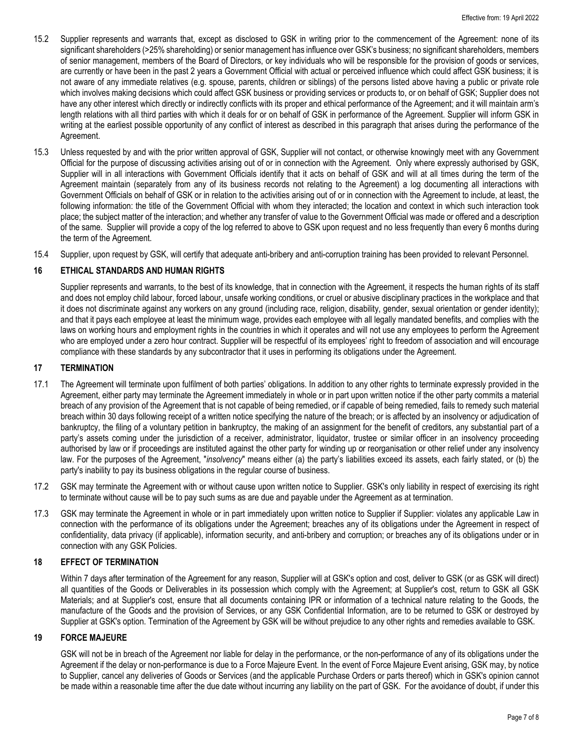- 15.2 Supplier represents and warrants that, except as disclosed to GSK in writing prior to the commencement of the Agreement: none of its significant shareholders (>25% shareholding) or senior management has influence over GSK's business; no significant shareholders, members of senior management, members of the Board of Directors, or key individuals who will be responsible for the provision of goods or services, are currently or have been in the past 2 years a Government Official with actual or perceived influence which could affect GSK business; it is not aware of any immediate relatives (e.g. spouse, parents, children or siblings) of the persons listed above having a public or private role which involves making decisions which could affect GSK business or providing services or products to, or on behalf of GSK; Supplier does not have any other interest which directly or indirectly conflicts with its proper and ethical performance of the Agreement; and it will maintain arm's length relations with all third parties with which it deals for or on behalf of GSK in performance of the Agreement. Supplier will inform GSK in writing at the earliest possible opportunity of any conflict of interest as described in this paragraph that arises during the performance of the Agreement.
- 15.3 Unless requested by and with the prior written approval of GSK, Supplier will not contact, or otherwise knowingly meet with any Government Official for the purpose of discussing activities arising out of or in connection with the Agreement. Only where expressly authorised by GSK, Supplier will in all interactions with Government Officials identify that it acts on behalf of GSK and will at all times during the term of the Agreement maintain (separately from any of its business records not relating to the Agreement) a log documenting all interactions with Government Officials on behalf of GSK or in relation to the activities arising out of or in connection with the Agreement to include, at least, the following information: the title of the Government Official with whom they interacted; the location and context in which such interaction took place; the subject matter of the interaction; and whether any transfer of value to the Government Official was made or offered and a description of the same. Supplier will provide a copy of the log referred to above to GSK upon request and no less frequently than every 6 months during the term of the Agreement.
- 15.4 Supplier, upon request by GSK, will certify that adequate anti-bribery and anti-corruption training has been provided to relevant Personnel.

## **16 ETHICAL STANDARDS AND HUMAN RIGHTS**

Supplier represents and warrants, to the best of its knowledge, that in connection with the Agreement, it respects the human rights of its staff and does not employ child labour, forced labour, unsafe working conditions, or cruel or abusive disciplinary practices in the workplace and that it does not discriminate against any workers on any ground (including race, religion, disability, gender, sexual orientation or gender identity); and that it pays each employee at least the minimum wage, provides each employee with all legally mandated benefits, and complies with the laws on working hours and employment rights in the countries in which it operates and will not use any employees to perform the Agreement who are employed under a zero hour contract. Supplier will be respectful of its employees' right to freedom of association and will encourage compliance with these standards by any subcontractor that it uses in performing its obligations under the Agreement.

## **17 TERMINATION**

- 17.1 The Agreement will terminate upon fulfilment of both parties' obligations. In addition to any other rights to terminate expressly provided in the Agreement, either party may terminate the Agreement immediately in whole or in part upon written notice if the other party commits a material breach of any provision of the Agreement that is not capable of being remedied, or if capable of being remedied, fails to remedy such material breach within 30 days following receipt of a written notice specifying the nature of the breach; or is affected by an insolvency or adjudication of bankruptcy, the filing of a voluntary petition in bankruptcy, the making of an assignment for the benefit of creditors, any substantial part of a party's assets coming under the jurisdiction of a receiver, administrator, liquidator, trustee or similar officer in an insolvency proceeding authorised by law or if proceedings are instituted against the other party for winding up or reorganisation or other relief under any insolvency law. For the purposes of the Agreement, "*insolvency*" means either (a) the party's liabilities exceed its assets, each fairly stated, or (b) the party's inability to pay its business obligations in the regular course of business.
- 17.2 GSK may terminate the Agreement with or without cause upon written notice to Supplier. GSK's only liability in respect of exercising its right to terminate without cause will be to pay such sums as are due and payable under the Agreement as at termination.
- 17.3 GSK may terminate the Agreement in whole or in part immediately upon written notice to Supplier if Supplier: violates any applicable Law in connection with the performance of its obligations under the Agreement; breaches any of its obligations under the Agreement in respect of confidentiality, data privacy (if applicable), information security, and anti-bribery and corruption; or breaches any of its obligations under or in connection with any GSK Policies.

### **18 EFFECT OF TERMINATION**

Within 7 days after termination of the Agreement for any reason, Supplier will at GSK's option and cost, deliver to GSK (or as GSK will direct) all quantities of the Goods or Deliverables in its possession which comply with the Agreement; at Supplier's cost, return to GSK all GSK Materials; and at Supplier's cost, ensure that all documents containing IPR or information of a technical nature relating to the Goods, the manufacture of the Goods and the provision of Services, or any GSK Confidential Information, are to be returned to GSK or destroyed by Supplier at GSK's option. Termination of the Agreement by GSK will be without prejudice to any other rights and remedies available to GSK.

# **19 FORCE MAJEURE**

GSK will not be in breach of the Agreement nor liable for delay in the performance, or the non-performance of any of its obligations under the Agreement if the delay or non-performance is due to a Force Majeure Event. In the event of Force Majeure Event arising, GSK may, by notice to Supplier, cancel any deliveries of Goods or Services (and the applicable Purchase Orders or parts thereof) which in GSK's opinion cannot be made within a reasonable time after the due date without incurring any liability on the part of GSK. For the avoidance of doubt, if under this